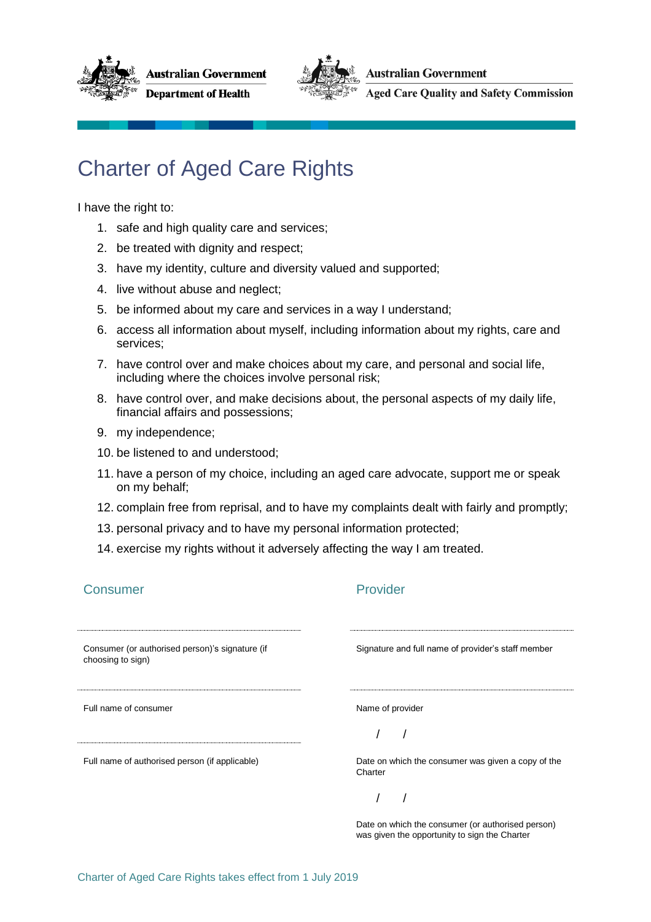



**Australian Government** 

**Aged Care Quality and Safety Commission** 

## Charter of Aged Care Rights

I have the right to:

- 1. safe and high quality care and services;
- 2. be treated with dignity and respect;
- 3. have my identity, culture and diversity valued and supported;
- 4. live without abuse and neglect;
- 5. be informed about my care and services in a way I understand;
- 6. access all information about myself, including information about my rights, care and services;
- 7. have control over and make choices about my care, and personal and social life, including where the choices involve personal risk;
- 8. have control over, and make decisions about, the personal aspects of my daily life, financial affairs and possessions;
- 9. my independence;
- 10. be listened to and understood;
- 11. have a person of my choice, including an aged care advocate, support me or speak on my behalf;
- 12. complain free from reprisal, and to have my complaints dealt with fairly and promptly;
- 13. personal privacy and to have my personal information protected;
- 14. exercise my rights without it adversely affecting the way I am treated.

| Consumer                                                             | Provider                                                                                           |
|----------------------------------------------------------------------|----------------------------------------------------------------------------------------------------|
| Consumer (or authorised person)'s signature (if<br>choosing to sign) | Signature and full name of provider's staff member                                                 |
| Full name of consumer                                                | Name of provider                                                                                   |
| Full name of authorised person (if applicable)                       | Date on which the consumer was given a copy of the<br>Charter                                      |
|                                                                      | Date on which the consumer (or authorised person)<br>was given the opportunity to sign the Charter |